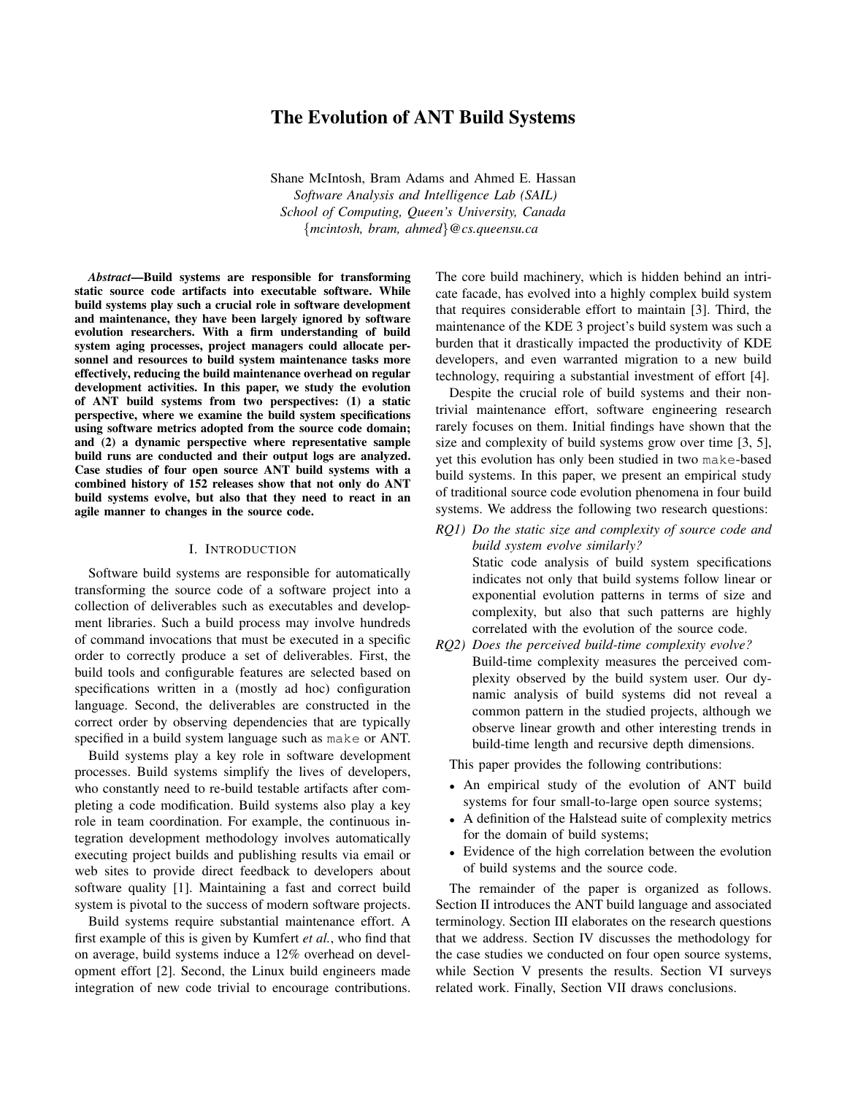# The Evolution of ANT Build Systems

Shane McIntosh, Bram Adams and Ahmed E. Hassan *Software Analysis and Intelligence Lab (SAIL) School of Computing, Queen's University, Canada* {*mcintosh, bram, ahmed*}*@cs.queensu.ca*

*Abstract*—Build systems are responsible for transforming static source code artifacts into executable software. While build systems play such a crucial role in software development and maintenance, they have been largely ignored by software evolution researchers. With a firm understanding of build system aging processes, project managers could allocate personnel and resources to build system maintenance tasks more effectively, reducing the build maintenance overhead on regular development activities. In this paper, we study the evolution of ANT build systems from two perspectives: (1) a static perspective, where we examine the build system specifications using software metrics adopted from the source code domain; and (2) a dynamic perspective where representative sample build runs are conducted and their output logs are analyzed. Case studies of four open source ANT build systems with a combined history of 152 releases show that not only do ANT build systems evolve, but also that they need to react in an agile manner to changes in the source code.

### I. INTRODUCTION

Software build systems are responsible for automatically transforming the source code of a software project into a collection of deliverables such as executables and development libraries. Such a build process may involve hundreds of command invocations that must be executed in a specific order to correctly produce a set of deliverables. First, the build tools and configurable features are selected based on specifications written in a (mostly ad hoc) configuration language. Second, the deliverables are constructed in the correct order by observing dependencies that are typically specified in a build system language such as make or ANT.

Build systems play a key role in software development processes. Build systems simplify the lives of developers, who constantly need to re-build testable artifacts after completing a code modification. Build systems also play a key role in team coordination. For example, the continuous integration development methodology involves automatically executing project builds and publishing results via email or web sites to provide direct feedback to developers about software quality [1]. Maintaining a fast and correct build system is pivotal to the success of modern software projects.

Build systems require substantial maintenance effort. A first example of this is given by Kumfert *et al.*, who find that on average, build systems induce a 12% overhead on development effort [2]. Second, the Linux build engineers made integration of new code trivial to encourage contributions. The core build machinery, which is hidden behind an intricate facade, has evolved into a highly complex build system that requires considerable effort to maintain [3]. Third, the maintenance of the KDE 3 project's build system was such a burden that it drastically impacted the productivity of KDE developers, and even warranted migration to a new build technology, requiring a substantial investment of effort [4].

Despite the crucial role of build systems and their nontrivial maintenance effort, software engineering research rarely focuses on them. Initial findings have shown that the size and complexity of build systems grow over time [3, 5], yet this evolution has only been studied in two make-based build systems. In this paper, we present an empirical study of traditional source code evolution phenomena in four build systems. We address the following two research questions:

- *RQ1) Do the static size and complexity of source code and build system evolve similarly?* Static code analysis of build system specifications indicates not only that build systems follow linear or exponential evolution patterns in terms of size and complexity, but also that such patterns are highly correlated with the evolution of the source code.
- *RQ2) Does the perceived build-time complexity evolve?* Build-time complexity measures the perceived complexity observed by the build system user. Our dynamic analysis of build systems did not reveal a common pattern in the studied projects, although we observe linear growth and other interesting trends in build-time length and recursive depth dimensions.

This paper provides the following contributions:

- An empirical study of the evolution of ANT build systems for four small-to-large open source systems;
- A definition of the Halstead suite of complexity metrics for the domain of build systems;
- Evidence of the high correlation between the evolution of build systems and the source code.

The remainder of the paper is organized as follows. Section II introduces the ANT build language and associated terminology. Section III elaborates on the research questions that we address. Section IV discusses the methodology for the case studies we conducted on four open source systems, while Section V presents the results. Section VI surveys related work. Finally, Section VII draws conclusions.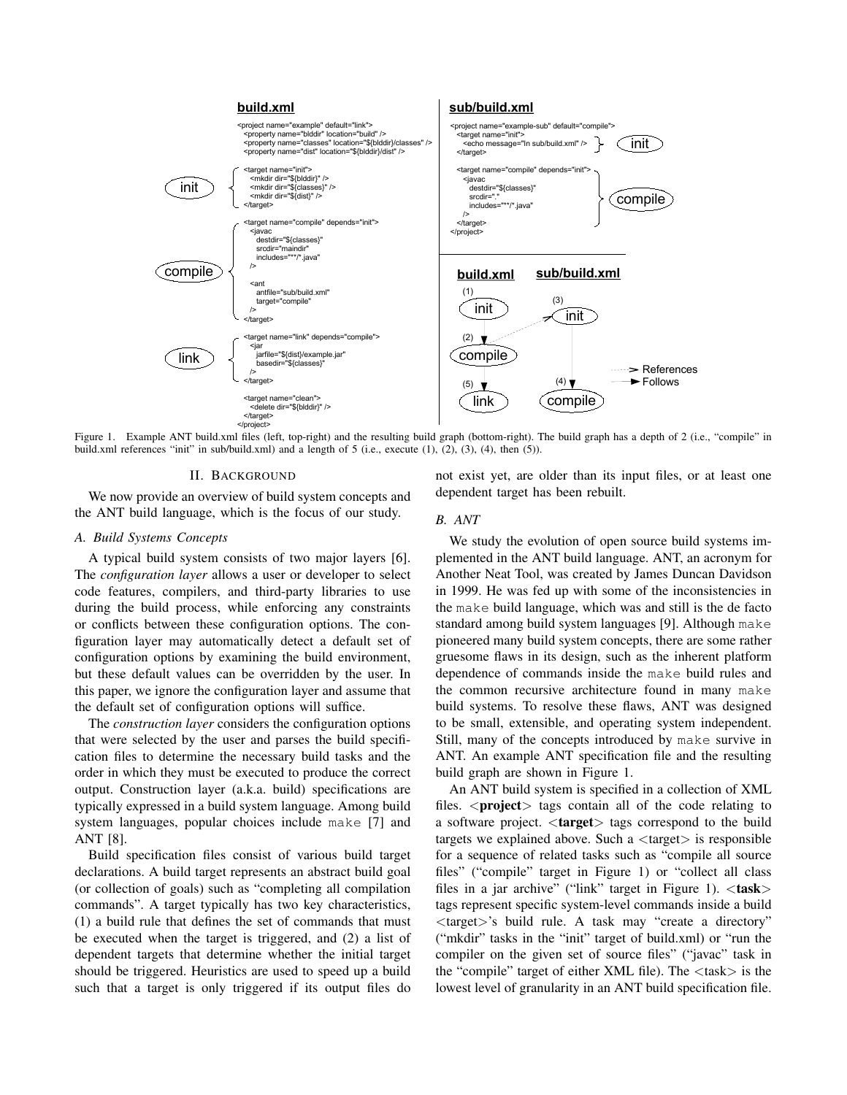

Figure 1. Example ANT build.xml files (left, top-right) and the resulting build graph (bottom-right). The build graph has a depth of 2 (i.e., "compile" in build.xml references "init" in sub/build.xml) and a length of 5 (i.e., execute (1), (2), (3), (4), then (5)).

### II. BACKGROUND

We now provide an overview of build system concepts and the ANT build language, which is the focus of our study.

### *A. Build Systems Concepts*

A typical build system consists of two major layers [6]. The *configuration layer* allows a user or developer to select code features, compilers, and third-party libraries to use during the build process, while enforcing any constraints or conflicts between these configuration options. The configuration layer may automatically detect a default set of configuration options by examining the build environment, but these default values can be overridden by the user. In this paper, we ignore the configuration layer and assume that the default set of configuration options will suffice.

The *construction layer* considers the configuration options that were selected by the user and parses the build specification files to determine the necessary build tasks and the order in which they must be executed to produce the correct output. Construction layer (a.k.a. build) specifications are typically expressed in a build system language. Among build system languages, popular choices include make [7] and ANT [8].

Build specification files consist of various build target declarations. A build target represents an abstract build goal (or collection of goals) such as "completing all compilation commands". A target typically has two key characteristics, (1) a build rule that defines the set of commands that must be executed when the target is triggered, and (2) a list of dependent targets that determine whether the initial target should be triggered. Heuristics are used to speed up a build such that a target is only triggered if its output files do not exist yet, are older than its input files, or at least one dependent target has been rebuilt.

### *B. ANT*

We study the evolution of open source build systems implemented in the ANT build language. ANT, an acronym for Another Neat Tool, was created by James Duncan Davidson in 1999. He was fed up with some of the inconsistencies in the make build language, which was and still is the de facto standard among build system languages [9]. Although make pioneered many build system concepts, there are some rather gruesome flaws in its design, such as the inherent platform dependence of commands inside the make build rules and the common recursive architecture found in many make build systems. To resolve these flaws, ANT was designed to be small, extensible, and operating system independent. Still, many of the concepts introduced by make survive in ANT. An example ANT specification file and the resulting build graph are shown in Figure 1.

An ANT build system is specified in a collection of XML files.  $\langle$ **project** $>$  tags contain all of the code relating to a software project. <target> tags correspond to the build targets we explained above. Such a  $\langle$  target $\rangle$  is responsible for a sequence of related tasks such as "compile all source files" ("compile" target in Figure 1) or "collect all class files in a jar archive" ("link" target in Figure 1). <task> tags represent specific system-level commands inside a build <target>'s build rule. A task may "create a directory" ("mkdir" tasks in the "init" target of build.xml) or "run the compiler on the given set of source files" ("javac" task in the "compile" target of either XML file). The <task> is the lowest level of granularity in an ANT build specification file.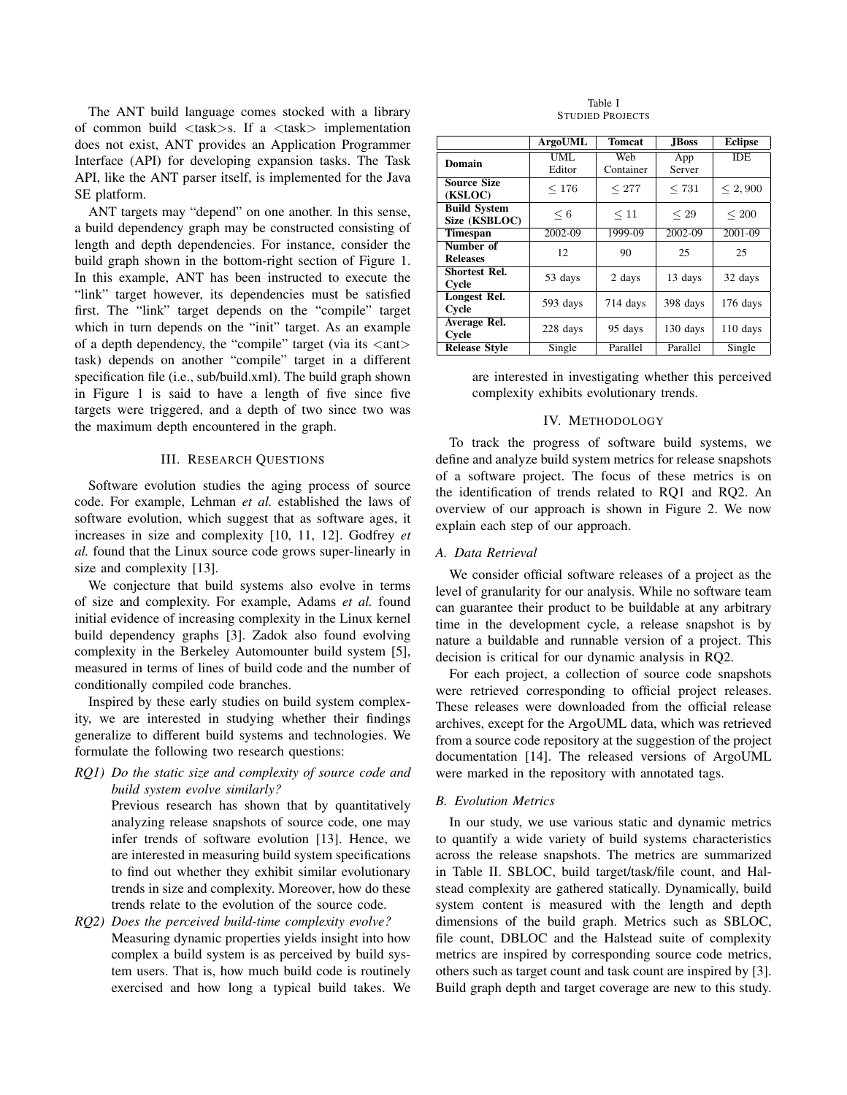The ANT build language comes stocked with a library of common build <task>s. If a <task> implementation does not exist, ANT provides an Application Programmer Interface (API) for developing expansion tasks. The Task API, like the ANT parser itself, is implemented for the Java SE platform.

ANT targets may "depend" on one another. In this sense, a build dependency graph may be constructed consisting of length and depth dependencies. For instance, consider the build graph shown in the bottom-right section of Figure 1. In this example, ANT has been instructed to execute the "link" target however, its dependencies must be satisfied first. The "link" target depends on the "compile" target which in turn depends on the "init" target. As an example of a depth dependency, the "compile" target (via its  $\langle$ ant $\rangle$ task) depends on another "compile" target in a different specification file (i.e., sub/build.xml). The build graph shown in Figure 1 is said to have a length of five since five targets were triggered, and a depth of two since two was the maximum depth encountered in the graph.

### III. RESEARCH QUESTIONS

Software evolution studies the aging process of source code. For example, Lehman *et al.* established the laws of software evolution, which suggest that as software ages, it increases in size and complexity [10, 11, 12]. Godfrey *et al.* found that the Linux source code grows super-linearly in size and complexity [13].

We conjecture that build systems also evolve in terms of size and complexity. For example, Adams *et al.* found initial evidence of increasing complexity in the Linux kernel build dependency graphs [3]. Zadok also found evolving complexity in the Berkeley Automounter build system [5], measured in terms of lines of build code and the number of conditionally compiled code branches.

Inspired by these early studies on build system complexity, we are interested in studying whether their findings generalize to different build systems and technologies. We formulate the following two research questions:

*RQ1) Do the static size and complexity of source code and build system evolve similarly?*

> Previous research has shown that by quantitatively analyzing release snapshots of source code, one may infer trends of software evolution [13]. Hence, we are interested in measuring build system specifications to find out whether they exhibit similar evolutionary trends in size and complexity. Moreover, how do these trends relate to the evolution of the source code.

*RQ2) Does the perceived build-time complexity evolve?* Measuring dynamic properties yields insight into how complex a build system is as perceived by build system users. That is, how much build code is routinely exercised and how long a typical build takes. We

Table I STUDIED PROJECTS

|                      | <b>ArgoUML</b> | <b>Tomcat</b> | <b>JBoss</b> | <b>Eclipse</b> |  |  |
|----------------------|----------------|---------------|--------------|----------------|--|--|
| Domain               | UML.           | Web           | App          | <b>IDE</b>     |  |  |
|                      | Editor         | Container     | Server       |                |  |  |
| Source Size          | < 176          | < 277         | < 731        | < 2,900        |  |  |
| (KSLOC)              |                |               |              |                |  |  |
| <b>Build System</b>  | $\leq 6$       | $\leq 11$     | $\leq 29$    | $\leq 200$     |  |  |
| Size (KSBLOC)        |                |               |              |                |  |  |
| <b>Timespan</b>      | 2002-09        | 1999-09       | 2002-09      | 2001-09        |  |  |
| Number of            | 12             | 90            | 25           | 25             |  |  |
| <b>Releases</b>      |                |               |              |                |  |  |
| <b>Shortest Rel.</b> | 53 days        | 2 days        | 13 days      | 32 days        |  |  |
| Cycle                |                |               |              |                |  |  |
| Longest Rel.         | 593 days       | 714 days      | 398 days     | $176$ days     |  |  |
| Cycle                |                |               |              |                |  |  |
| Average Rel.         | 228 days       | 95 days       | 130 days     | $110$ days     |  |  |
| Cycle                |                |               |              |                |  |  |
| <b>Release Style</b> | Single         | Parallel      | Parallel     | Single         |  |  |

are interested in investigating whether this perceived complexity exhibits evolutionary trends.

### IV. METHODOLOGY

To track the progress of software build systems, we define and analyze build system metrics for release snapshots of a software project. The focus of these metrics is on the identification of trends related to RQ1 and RQ2. An overview of our approach is shown in Figure 2. We now explain each step of our approach.

## *A. Data Retrieval*

We consider official software releases of a project as the level of granularity for our analysis. While no software team can guarantee their product to be buildable at any arbitrary time in the development cycle, a release snapshot is by nature a buildable and runnable version of a project. This decision is critical for our dynamic analysis in RQ2.

For each project, a collection of source code snapshots were retrieved corresponding to official project releases. These releases were downloaded from the official release archives, except for the ArgoUML data, which was retrieved from a source code repository at the suggestion of the project documentation [14]. The released versions of ArgoUML were marked in the repository with annotated tags.

### *B. Evolution Metrics*

In our study, we use various static and dynamic metrics to quantify a wide variety of build systems characteristics across the release snapshots. The metrics are summarized in Table II. SBLOC, build target/task/file count, and Halstead complexity are gathered statically. Dynamically, build system content is measured with the length and depth dimensions of the build graph. Metrics such as SBLOC, file count, DBLOC and the Halstead suite of complexity metrics are inspired by corresponding source code metrics, others such as target count and task count are inspired by [3]. Build graph depth and target coverage are new to this study.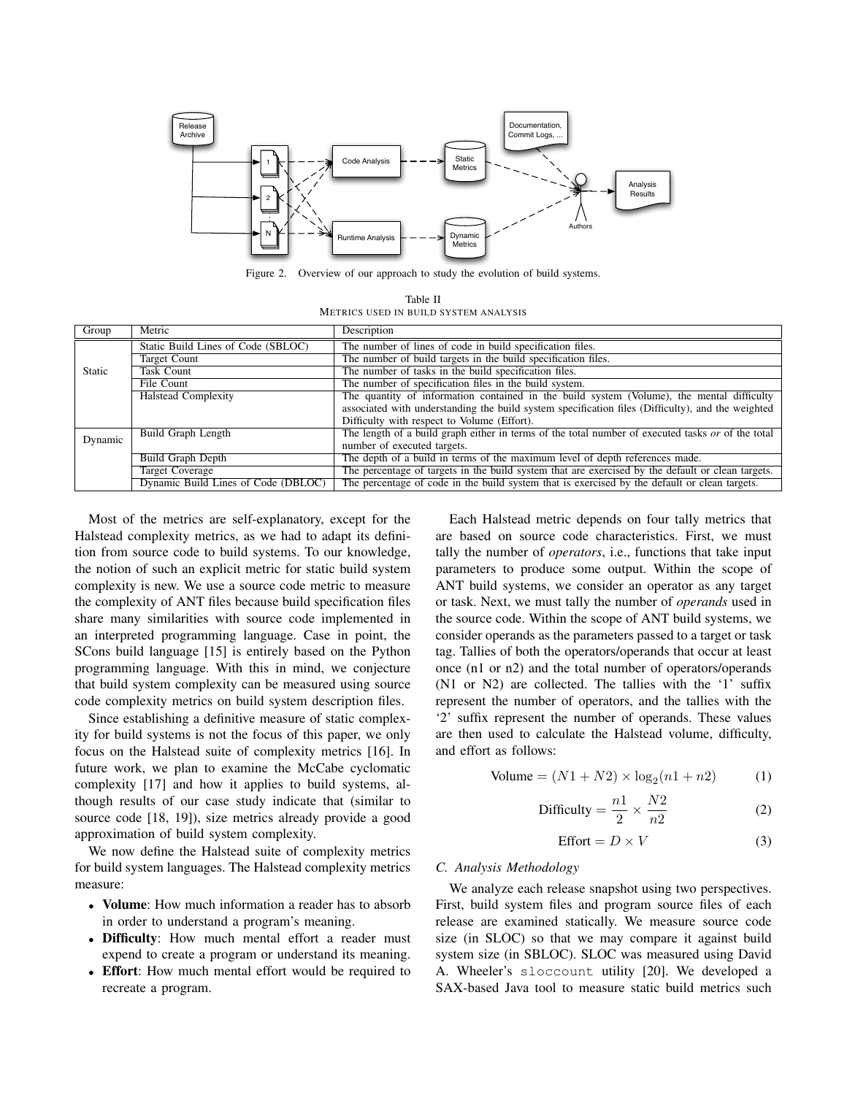

Figure 2. Overview of our approach to study the evolution of build systems.

Table II METRICS USED IN BUILD SYSTEM ANALYSIS

| Group   | Metric                              | Description                                                                                       |  |  |  |  |  |  |
|---------|-------------------------------------|---------------------------------------------------------------------------------------------------|--|--|--|--|--|--|
|         | Static Build Lines of Code (SBLOC)  | The number of lines of code in build specification files.                                         |  |  |  |  |  |  |
| Static  | Target Count                        | The number of build targets in the build specification files.                                     |  |  |  |  |  |  |
|         | Task Count                          | The number of tasks in the build specification files.                                             |  |  |  |  |  |  |
|         | File Count                          | The number of specification files in the build system.                                            |  |  |  |  |  |  |
|         | <b>Halstead Complexity</b>          | The quantity of information contained in the build system (Volume), the mental difficulty         |  |  |  |  |  |  |
|         |                                     | associated with understanding the build system specification files (Difficulty), and the weighted |  |  |  |  |  |  |
|         |                                     | Difficulty with respect to Volume (Effort).                                                       |  |  |  |  |  |  |
| Dynamic | Build Graph Length                  | The length of a build graph either in terms of the total number of executed tasks or of the total |  |  |  |  |  |  |
|         |                                     | number of executed targets.                                                                       |  |  |  |  |  |  |
|         | Build Graph Depth                   | The depth of a build in terms of the maximum level of depth references made.                      |  |  |  |  |  |  |
|         | <b>Target Coverage</b>              | The percentage of targets in the build system that are exercised by the default or clean targets. |  |  |  |  |  |  |
|         | Dynamic Build Lines of Code (DBLOC) | The percentage of code in the build system that is exercised by the default or clean targets.     |  |  |  |  |  |  |

Most of the metrics are self-explanatory, except for the Halstead complexity metrics, as we had to adapt its definition from source code to build systems. To our knowledge, the notion of such an explicit metric for static build system complexity is new. We use a source code metric to measure the complexity of ANT files because build specification files share many similarities with source code implemented in an interpreted programming language. Case in point, the SCons build language [15] is entirely based on the Python programming language. With this in mind, we conjecture that build system complexity can be measured using source code complexity metrics on build system description files.

Since establishing a definitive measure of static complexity for build systems is not the focus of this paper, we only focus on the Halstead suite of complexity metrics [16]. In future work, we plan to examine the McCabe cyclomatic complexity [17] and how it applies to build systems, although results of our case study indicate that (similar to source code [18, 19]), size metrics already provide a good approximation of build system complexity.

We now define the Halstead suite of complexity metrics for build system languages. The Halstead complexity metrics measure:

- Volume: How much information a reader has to absorb in order to understand a program's meaning.
- Difficulty: How much mental effort a reader must expend to create a program or understand its meaning.
- Effort: How much mental effort would be required to recreate a program.

Each Halstead metric depends on four tally metrics that are based on source code characteristics. First, we must tally the number of *operators*, i.e., functions that take input parameters to produce some output. Within the scope of ANT build systems, we consider an operator as any target or task. Next, we must tally the number of *operands* used in the source code. Within the scope of ANT build systems, we consider operands as the parameters passed to a target or task tag. Tallies of both the operators/operands that occur at least once (n1 or n2) and the total number of operators/operands (N1 or N2) are collected. The tallies with the '1' suffix represent the number of operators, and the tallies with the '2' suffix represent the number of operands. These values are then used to calculate the Halstead volume, difficulty, and effort as follows:

Volume = 
$$
(N1 + N2) \times \log_2(n1 + n2)
$$
 (1)

$$
\text{Difficulty} = \frac{n1}{2} \times \frac{N2}{n2} \tag{2}
$$

$$
Effort = D \times V \tag{3}
$$

### *C. Analysis Methodology*

We analyze each release snapshot using two perspectives. First, build system files and program source files of each release are examined statically. We measure source code size (in SLOC) so that we may compare it against build system size (in SBLOC). SLOC was measured using David A. Wheeler's sloccount utility [20]. We developed a SAX-based Java tool to measure static build metrics such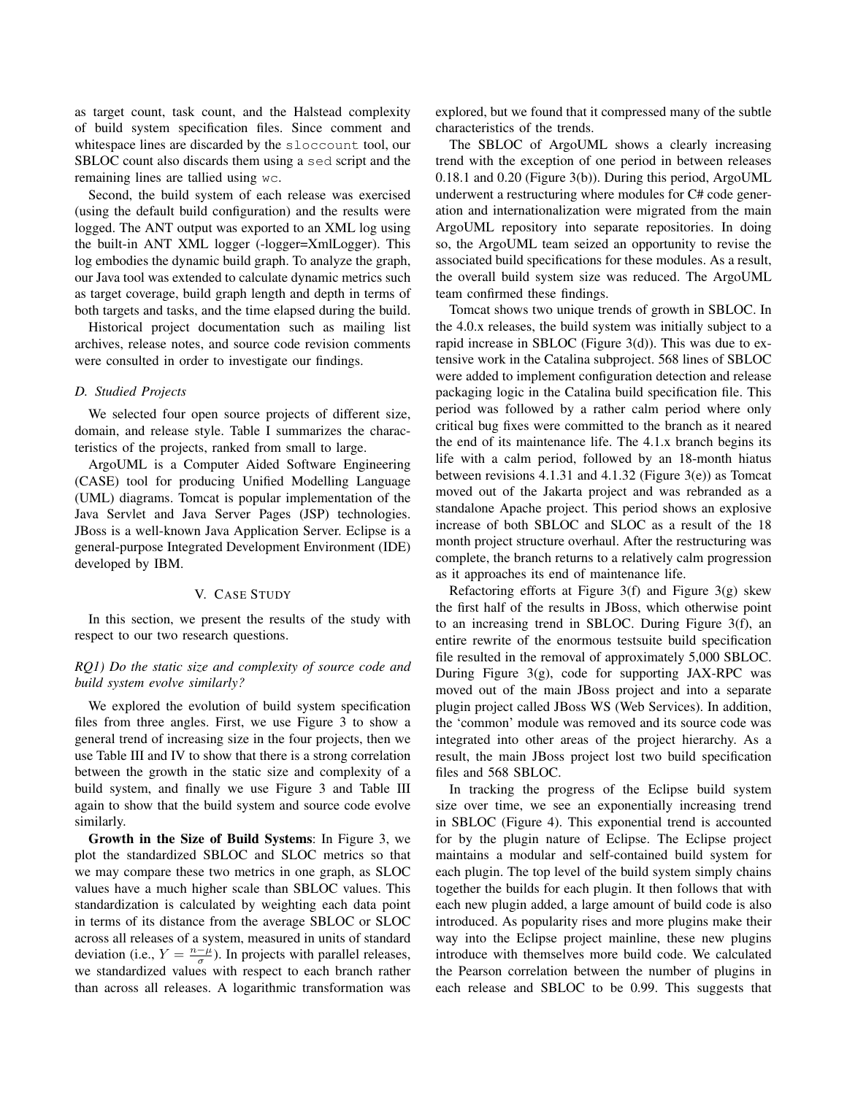as target count, task count, and the Halstead complexity of build system specification files. Since comment and whitespace lines are discarded by the sloccount tool, our SBLOC count also discards them using a sed script and the remaining lines are tallied using wc.

Second, the build system of each release was exercised (using the default build configuration) and the results were logged. The ANT output was exported to an XML log using the built-in ANT XML logger (-logger=XmlLogger). This log embodies the dynamic build graph. To analyze the graph, our Java tool was extended to calculate dynamic metrics such as target coverage, build graph length and depth in terms of both targets and tasks, and the time elapsed during the build.

Historical project documentation such as mailing list archives, release notes, and source code revision comments were consulted in order to investigate our findings.

## *D. Studied Projects*

We selected four open source projects of different size, domain, and release style. Table I summarizes the characteristics of the projects, ranked from small to large.

ArgoUML is a Computer Aided Software Engineering (CASE) tool for producing Unified Modelling Language (UML) diagrams. Tomcat is popular implementation of the Java Servlet and Java Server Pages (JSP) technologies. JBoss is a well-known Java Application Server. Eclipse is a general-purpose Integrated Development Environment (IDE) developed by IBM.

### V. CASE STUDY

In this section, we present the results of the study with respect to our two research questions.

## *RQ1) Do the static size and complexity of source code and build system evolve similarly?*

We explored the evolution of build system specification files from three angles. First, we use Figure 3 to show a general trend of increasing size in the four projects, then we use Table III and IV to show that there is a strong correlation between the growth in the static size and complexity of a build system, and finally we use Figure 3 and Table III again to show that the build system and source code evolve similarly.

Growth in the Size of Build Systems: In Figure 3, we plot the standardized SBLOC and SLOC metrics so that we may compare these two metrics in one graph, as SLOC values have a much higher scale than SBLOC values. This standardization is calculated by weighting each data point in terms of its distance from the average SBLOC or SLOC across all releases of a system, measured in units of standard deviation (i.e.,  $Y = \frac{n-\mu}{\sigma}$ ). In projects with parallel releases, we standardized values with respect to each branch rather than across all releases. A logarithmic transformation was explored, but we found that it compressed many of the subtle characteristics of the trends.

The SBLOC of ArgoUML shows a clearly increasing trend with the exception of one period in between releases 0.18.1 and 0.20 (Figure 3(b)). During this period, ArgoUML underwent a restructuring where modules for C# code generation and internationalization were migrated from the main ArgoUML repository into separate repositories. In doing so, the ArgoUML team seized an opportunity to revise the associated build specifications for these modules. As a result, the overall build system size was reduced. The ArgoUML team confirmed these findings.

Tomcat shows two unique trends of growth in SBLOC. In the 4.0.x releases, the build system was initially subject to a rapid increase in SBLOC (Figure 3(d)). This was due to extensive work in the Catalina subproject. 568 lines of SBLOC were added to implement configuration detection and release packaging logic in the Catalina build specification file. This period was followed by a rather calm period where only critical bug fixes were committed to the branch as it neared the end of its maintenance life. The 4.1.x branch begins its life with a calm period, followed by an 18-month hiatus between revisions 4.1.31 and 4.1.32 (Figure 3(e)) as Tomcat moved out of the Jakarta project and was rebranded as a standalone Apache project. This period shows an explosive increase of both SBLOC and SLOC as a result of the 18 month project structure overhaul. After the restructuring was complete, the branch returns to a relatively calm progression as it approaches its end of maintenance life.

Refactoring efforts at Figure 3(f) and Figure 3(g) skew the first half of the results in JBoss, which otherwise point to an increasing trend in SBLOC. During Figure 3(f), an entire rewrite of the enormous testsuite build specification file resulted in the removal of approximately 5,000 SBLOC. During Figure 3(g), code for supporting JAX-RPC was moved out of the main JBoss project and into a separate plugin project called JBoss WS (Web Services). In addition, the 'common' module was removed and its source code was integrated into other areas of the project hierarchy. As a result, the main JBoss project lost two build specification files and 568 SBLOC.

In tracking the progress of the Eclipse build system size over time, we see an exponentially increasing trend in SBLOC (Figure 4). This exponential trend is accounted for by the plugin nature of Eclipse. The Eclipse project maintains a modular and self-contained build system for each plugin. The top level of the build system simply chains together the builds for each plugin. It then follows that with each new plugin added, a large amount of build code is also introduced. As popularity rises and more plugins make their way into the Eclipse project mainline, these new plugins introduce with themselves more build code. We calculated the Pearson correlation between the number of plugins in each release and SBLOC to be 0.99. This suggests that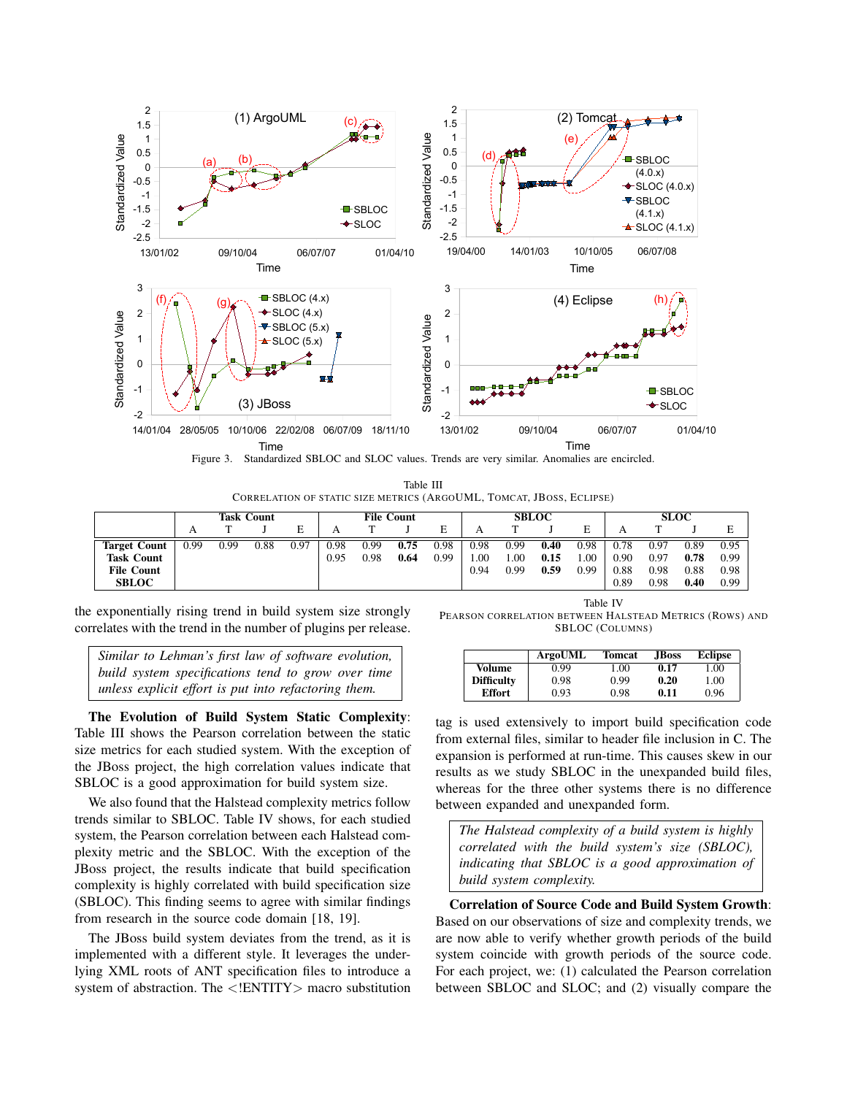

Figure 3. Standardized SBLOC and SLOC values. Trends are very similar. Anomalies are encircled.

Table III CORRELATION OF STATIC SIZE METRICS (ARGOUML, TOMCAT, JBOSS, ECLIPSE)

|                     | <b>Task Count</b> |      |      | <b>File Count</b> |      |      | <b>SBLOC</b> |      |      |      | <b>SLOC</b> |      |      |      |      |      |
|---------------------|-------------------|------|------|-------------------|------|------|--------------|------|------|------|-------------|------|------|------|------|------|
|                     | A                 |      |      | F                 |      |      |              | Е    |      |      |             | E    |      |      |      | E    |
| <b>Target Count</b> | 0.99              | 0.99 | 0.88 | 0.97              | 0.98 | 0.99 | 0.75         | 0.98 | 0.98 | 0.99 | 0.40        | 0.98 | 0.78 | 0.97 | 0.89 | 0.95 |
| <b>Task Count</b>   |                   |      |      |                   | 0.95 | 0.98 | 0.64         | 0.99 | .00  | .00  | 0.15        | .00. | 0.90 | 0.97 | 0.78 | 0.99 |
| <b>File Count</b>   |                   |      |      |                   |      |      |              |      | 0.94 | 0.99 | 0.59        | 0.99 | 0.88 | 0.98 | 0.88 | 0.98 |
| <b>SBLOC</b>        |                   |      |      |                   |      |      |              |      |      |      |             |      | 0.89 | 0.98 | 0.40 | 0.99 |

the exponentially rising trend in build system size strongly correlates with the trend in the number of plugins per release.

Table IV PEARSON CORRELATION BETWEEN HALSTEAD METRICS (ROWS) AND SBLOC (COLUMNS)

*Similar to Lehman's first law of software evolution, build system specifications tend to grow over time unless explicit effort is put into refactoring them.*

The Evolution of Build System Static Complexity: Table III shows the Pearson correlation between the static size metrics for each studied system. With the exception of the JBoss project, the high correlation values indicate that SBLOC is a good approximation for build system size.

We also found that the Halstead complexity metrics follow trends similar to SBLOC. Table IV shows, for each studied system, the Pearson correlation between each Halstead complexity metric and the SBLOC. With the exception of the JBoss project, the results indicate that build specification complexity is highly correlated with build specification size (SBLOC). This finding seems to agree with similar findings from research in the source code domain [18, 19].

The JBoss build system deviates from the trend, as it is implemented with a different style. It leverages the underlying XML roots of ANT specification files to introduce a system of abstraction. The <! ENTITY> macro substitution

ArgoUML Tomcat JBoss Eclipse<br>0.99 1.00 0.17 1.00 Volume **Difficulty** 0.98 0.99 **0.20** 1.00<br>**Effort** 0.93 0.98 **0.11** 0.96 Effort 0.93 0.98 0.11 0.96

tag is used extensively to import build specification code from external files, similar to header file inclusion in C. The expansion is performed at run-time. This causes skew in our results as we study SBLOC in the unexpanded build files, whereas for the three other systems there is no difference between expanded and unexpanded form.

*The Halstead complexity of a build system is highly correlated with the build system's size (SBLOC), indicating that SBLOC is a good approximation of build system complexity.*

Correlation of Source Code and Build System Growth: Based on our observations of size and complexity trends, we are now able to verify whether growth periods of the build system coincide with growth periods of the source code. For each project, we: (1) calculated the Pearson correlation between SBLOC and SLOC; and (2) visually compare the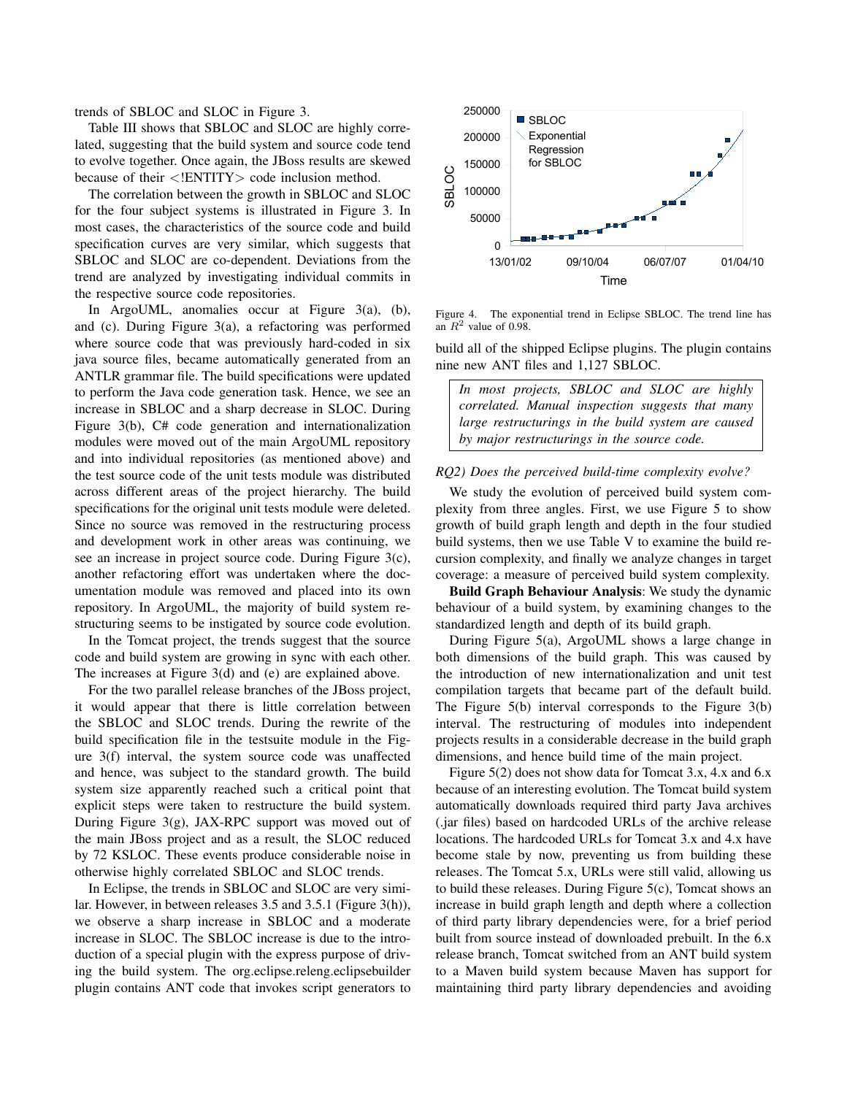trends of SBLOC and SLOC in Figure 3.

Table III shows that SBLOC and SLOC are highly correlated, suggesting that the build system and source code tend to evolve together. Once again, the JBoss results are skewed because of their  $\langle$ !ENTITY $\rangle$  code inclusion method.

The correlation between the growth in SBLOC and SLOC for the four subject systems is illustrated in Figure 3. In most cases, the characteristics of the source code and build specification curves are very similar, which suggests that SBLOC and SLOC are co-dependent. Deviations from the trend are analyzed by investigating individual commits in the respective source code repositories.

In ArgoUML, anomalies occur at Figure 3(a), (b), and (c). During Figure 3(a), a refactoring was performed where source code that was previously hard-coded in six java source files, became automatically generated from an ANTLR grammar file. The build specifications were updated to perform the Java code generation task. Hence, we see an increase in SBLOC and a sharp decrease in SLOC. During Figure 3(b), C# code generation and internationalization modules were moved out of the main ArgoUML repository and into individual repositories (as mentioned above) and the test source code of the unit tests module was distributed across different areas of the project hierarchy. The build specifications for the original unit tests module were deleted. Since no source was removed in the restructuring process and development work in other areas was continuing, we see an increase in project source code. During Figure 3(c), another refactoring effort was undertaken where the documentation module was removed and placed into its own repository. In ArgoUML, the majority of build system restructuring seems to be instigated by source code evolution.

In the Tomcat project, the trends suggest that the source code and build system are growing in sync with each other. The increases at Figure 3(d) and (e) are explained above.

For the two parallel release branches of the JBoss project, it would appear that there is little correlation between the SBLOC and SLOC trends. During the rewrite of the build specification file in the testsuite module in the Figure 3(f) interval, the system source code was unaffected and hence, was subject to the standard growth. The build system size apparently reached such a critical point that explicit steps were taken to restructure the build system. During Figure 3(g), JAX-RPC support was moved out of the main JBoss project and as a result, the SLOC reduced by 72 KSLOC. These events produce considerable noise in otherwise highly correlated SBLOC and SLOC trends.

In Eclipse, the trends in SBLOC and SLOC are very similar. However, in between releases 3.5 and 3.5.1 (Figure 3(h)), we observe a sharp increase in SBLOC and a moderate increase in SLOC. The SBLOC increase is due to the introduction of a special plugin with the express purpose of driving the build system. The org.eclipse.releng.eclipsebuilder plugin contains ANT code that invokes script generators to



Figure 4. The exponential trend in Eclipse SBLOC. The trend line has an  $R^2$  value of 0.98.

build all of the shipped Eclipse plugins. The plugin contains nine new ANT files and 1,127 SBLOC.

*In most projects, SBLOC and SLOC are highly correlated. Manual inspection suggests that many large restructurings in the build system are caused by major restructurings in the source code.*

## *RQ2) Does the perceived build-time complexity evolve?*

We study the evolution of perceived build system complexity from three angles. First, we use Figure 5 to show growth of build graph length and depth in the four studied build systems, then we use Table V to examine the build recursion complexity, and finally we analyze changes in target coverage: a measure of perceived build system complexity.

Build Graph Behaviour Analysis: We study the dynamic behaviour of a build system, by examining changes to the standardized length and depth of its build graph.

During Figure 5(a), ArgoUML shows a large change in both dimensions of the build graph. This was caused by the introduction of new internationalization and unit test compilation targets that became part of the default build. The Figure 5(b) interval corresponds to the Figure 3(b) interval. The restructuring of modules into independent projects results in a considerable decrease in the build graph dimensions, and hence build time of the main project.

Figure 5(2) does not show data for Tomcat 3.x, 4.x and 6.x because of an interesting evolution. The Tomcat build system automatically downloads required third party Java archives (.jar files) based on hardcoded URLs of the archive release locations. The hardcoded URLs for Tomcat 3.x and 4.x have become stale by now, preventing us from building these releases. The Tomcat 5.x, URLs were still valid, allowing us to build these releases. During Figure 5(c), Tomcat shows an increase in build graph length and depth where a collection of third party library dependencies were, for a brief period built from source instead of downloaded prebuilt. In the 6.x release branch, Tomcat switched from an ANT build system to a Maven build system because Maven has support for maintaining third party library dependencies and avoiding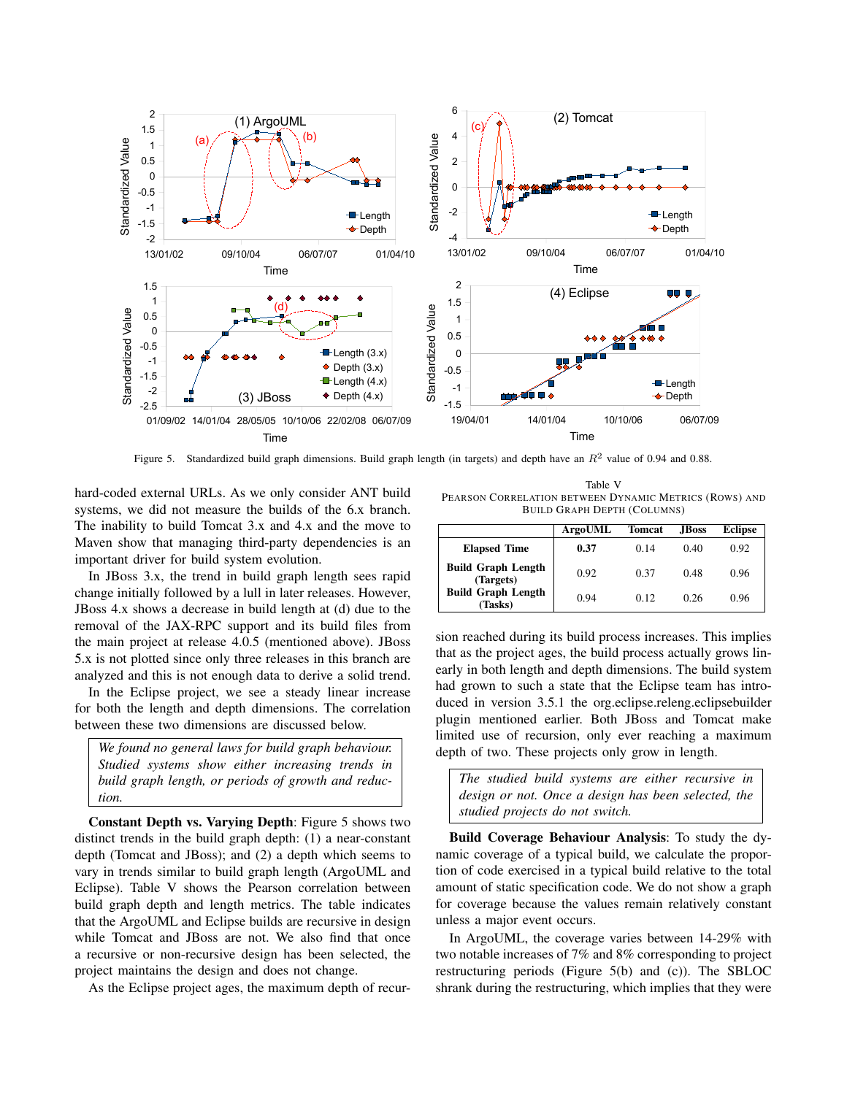

Figure 5. Standardized build graph dimensions. Build graph length (in targets) and depth have an  $R^2$  value of 0.94 and 0.88.

hard-coded external URLs. As we only consider ANT build systems, we did not measure the builds of the 6.x branch. The inability to build Tomcat 3.x and 4.x and the move to Maven show that managing third-party dependencies is an important driver for build system evolution.

In JBoss 3.x, the trend in build graph length sees rapid change initially followed by a lull in later releases. However, JBoss 4.x shows a decrease in build length at (d) due to the removal of the JAX-RPC support and its build files from the main project at release 4.0.5 (mentioned above). JBoss 5.x is not plotted since only three releases in this branch are analyzed and this is not enough data to derive a solid trend.

In the Eclipse project, we see a steady linear increase for both the length and depth dimensions. The correlation between these two dimensions are discussed below.

*We found no general laws for build graph behaviour. Studied systems show either increasing trends in build graph length, or periods of growth and reduction.*

Constant Depth vs. Varying Depth: Figure 5 shows two distinct trends in the build graph depth: (1) a near-constant depth (Tomcat and JBoss); and (2) a depth which seems to vary in trends similar to build graph length (ArgoUML and Eclipse). Table V shows the Pearson correlation between build graph depth and length metrics. The table indicates that the ArgoUML and Eclipse builds are recursive in design while Tomcat and JBoss are not. We also find that once a recursive or non-recursive design has been selected, the project maintains the design and does not change.

As the Eclipse project ages, the maximum depth of recur-

Table V PEARSON CORRELATION BETWEEN DYNAMIC METRICS (ROWS) AND BUILD GRAPH DEPTH (COLUMNS)

|                                        | ArgoUML | Tomcat | <b>JBoss</b> | <b>Eclipse</b> |
|----------------------------------------|---------|--------|--------------|----------------|
| <b>Elapsed Time</b>                    | 0.37    | 0.14   | 0.40         | 0.92           |
| <b>Build Graph Length</b><br>(Targets) | 0.92    | 0.37   | 0.48         | 0.96           |
| <b>Build Graph Length</b><br>(Tasks)   | 0.94    | 0.12   | 0.26         | 0.96           |

sion reached during its build process increases. This implies that as the project ages, the build process actually grows linearly in both length and depth dimensions. The build system had grown to such a state that the Eclipse team has introduced in version 3.5.1 the org.eclipse.releng.eclipsebuilder plugin mentioned earlier. Both JBoss and Tomcat make limited use of recursion, only ever reaching a maximum depth of two. These projects only grow in length.

*The studied build systems are either recursive in design or not. Once a design has been selected, the studied projects do not switch.*

Build Coverage Behaviour Analysis: To study the dynamic coverage of a typical build, we calculate the proportion of code exercised in a typical build relative to the total amount of static specification code. We do not show a graph for coverage because the values remain relatively constant unless a major event occurs.

In ArgoUML, the coverage varies between 14-29% with two notable increases of 7% and 8% corresponding to project restructuring periods (Figure 5(b) and (c)). The SBLOC shrank during the restructuring, which implies that they were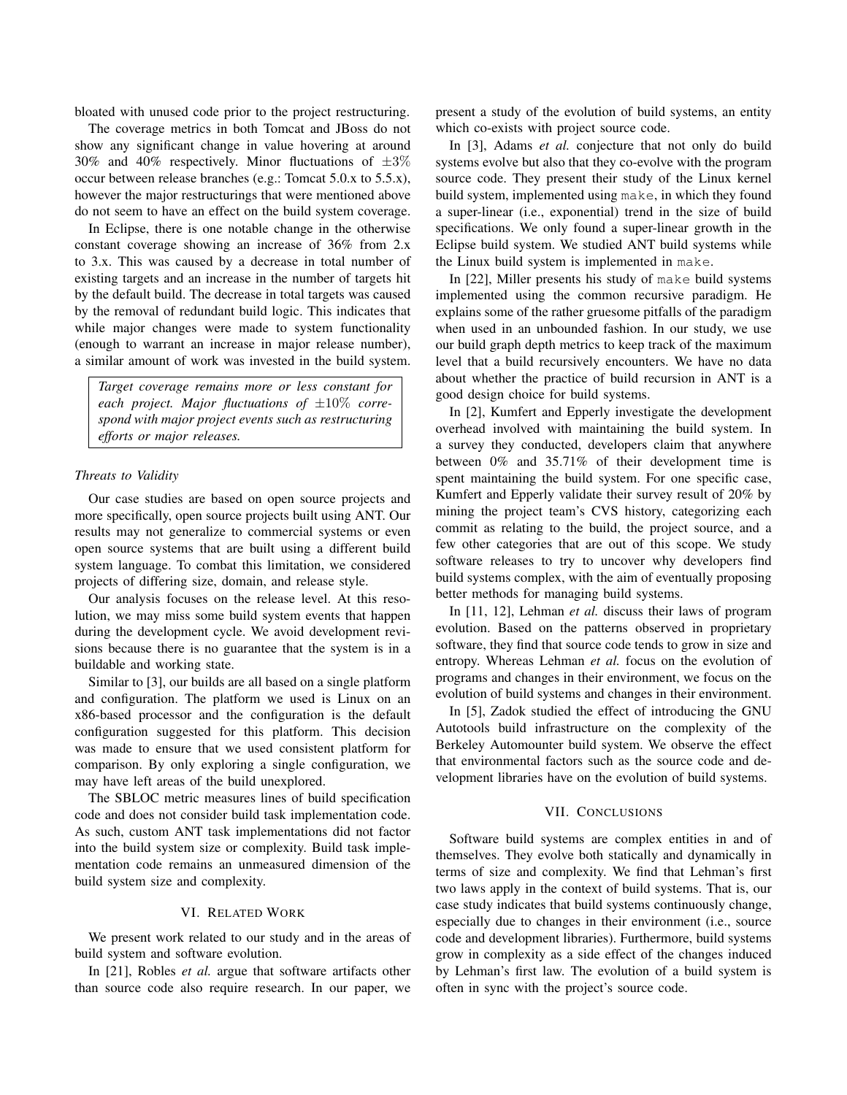bloated with unused code prior to the project restructuring.

The coverage metrics in both Tomcat and JBoss do not show any significant change in value hovering at around 30% and 40% respectively. Minor fluctuations of  $\pm 3\%$ occur between release branches (e.g.: Tomcat 5.0.x to 5.5.x), however the major restructurings that were mentioned above do not seem to have an effect on the build system coverage.

In Eclipse, there is one notable change in the otherwise constant coverage showing an increase of 36% from 2.x to 3.x. This was caused by a decrease in total number of existing targets and an increase in the number of targets hit by the default build. The decrease in total targets was caused by the removal of redundant build logic. This indicates that while major changes were made to system functionality (enough to warrant an increase in major release number), a similar amount of work was invested in the build system.

*Target coverage remains more or less constant for each project. Major fluctuations of* ±10% *correspond with major project events such as restructuring efforts or major releases.*

### *Threats to Validity*

Our case studies are based on open source projects and more specifically, open source projects built using ANT. Our results may not generalize to commercial systems or even open source systems that are built using a different build system language. To combat this limitation, we considered projects of differing size, domain, and release style.

Our analysis focuses on the release level. At this resolution, we may miss some build system events that happen during the development cycle. We avoid development revisions because there is no guarantee that the system is in a buildable and working state.

Similar to [3], our builds are all based on a single platform and configuration. The platform we used is Linux on an x86-based processor and the configuration is the default configuration suggested for this platform. This decision was made to ensure that we used consistent platform for comparison. By only exploring a single configuration, we may have left areas of the build unexplored.

The SBLOC metric measures lines of build specification code and does not consider build task implementation code. As such, custom ANT task implementations did not factor into the build system size or complexity. Build task implementation code remains an unmeasured dimension of the build system size and complexity.

## VI. RELATED WORK

We present work related to our study and in the areas of build system and software evolution.

In [21], Robles *et al.* argue that software artifacts other than source code also require research. In our paper, we present a study of the evolution of build systems, an entity which co-exists with project source code.

In [3], Adams *et al.* conjecture that not only do build systems evolve but also that they co-evolve with the program source code. They present their study of the Linux kernel build system, implemented using make, in which they found a super-linear (i.e., exponential) trend in the size of build specifications. We only found a super-linear growth in the Eclipse build system. We studied ANT build systems while the Linux build system is implemented in make.

In [22], Miller presents his study of make build systems implemented using the common recursive paradigm. He explains some of the rather gruesome pitfalls of the paradigm when used in an unbounded fashion. In our study, we use our build graph depth metrics to keep track of the maximum level that a build recursively encounters. We have no data about whether the practice of build recursion in ANT is a good design choice for build systems.

In [2], Kumfert and Epperly investigate the development overhead involved with maintaining the build system. In a survey they conducted, developers claim that anywhere between 0% and 35.71% of their development time is spent maintaining the build system. For one specific case, Kumfert and Epperly validate their survey result of 20% by mining the project team's CVS history, categorizing each commit as relating to the build, the project source, and a few other categories that are out of this scope. We study software releases to try to uncover why developers find build systems complex, with the aim of eventually proposing better methods for managing build systems.

In [11, 12], Lehman *et al.* discuss their laws of program evolution. Based on the patterns observed in proprietary software, they find that source code tends to grow in size and entropy. Whereas Lehman *et al.* focus on the evolution of programs and changes in their environment, we focus on the evolution of build systems and changes in their environment.

In [5], Zadok studied the effect of introducing the GNU Autotools build infrastructure on the complexity of the Berkeley Automounter build system. We observe the effect that environmental factors such as the source code and development libraries have on the evolution of build systems.

### VII. CONCLUSIONS

Software build systems are complex entities in and of themselves. They evolve both statically and dynamically in terms of size and complexity. We find that Lehman's first two laws apply in the context of build systems. That is, our case study indicates that build systems continuously change, especially due to changes in their environment (i.e., source code and development libraries). Furthermore, build systems grow in complexity as a side effect of the changes induced by Lehman's first law. The evolution of a build system is often in sync with the project's source code.